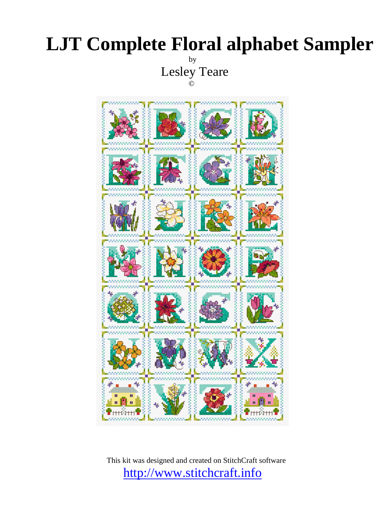## **LJT Complete Floral alphabet Sampler**  by

Lesley Teare



This kit was designed and created on StitchCraft software <http://www.stitchcraft.info>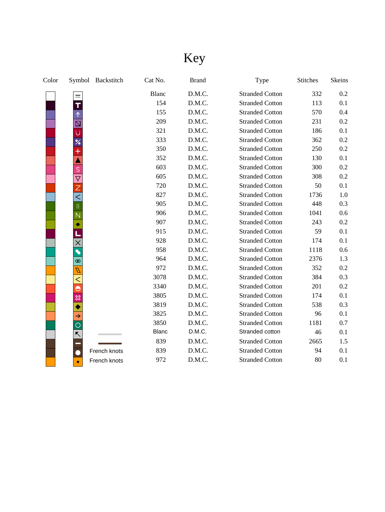# Key

| Color |       | Symbol Backstitch | Cat No.      | <b>Brand</b> | Type                   | <b>Stitches</b> | Skeins |
|-------|-------|-------------------|--------------|--------------|------------------------|-----------------|--------|
|       |       |                   | Blanc        | D.M.C.       | <b>Stranded Cotton</b> | 332             | 0.2    |
|       |       |                   | 154          | D.M.C.       | <b>Stranded Cotton</b> | 113             | 0.1    |
|       |       |                   | 155          | D.M.C.       | <b>Stranded Cotton</b> | 570             | 0.4    |
|       | N     |                   | 209          | D.M.C.       | <b>Stranded Cotton</b> | 231             | 0.2    |
|       |       |                   | 321          | D.M.C.       | <b>Stranded Cotton</b> | 186             | 0.1    |
|       |       |                   | 333          | D.M.C.       | <b>Stranded Cotton</b> | 362             | 0.2    |
|       |       |                   | 350          | D.M.C.       | <b>Stranded Cotton</b> | 250             | 0.2    |
|       |       |                   | 352          | D.M.C.       | <b>Stranded Cotton</b> | 130             | 0.1    |
|       | S     |                   | 603          | D.M.C.       | <b>Stranded Cotton</b> | 300             | 0.2    |
|       |       |                   | 605          | D.M.C.       | <b>Stranded Cotton</b> | 308             | 0.2    |
|       |       |                   | 720          | D.M.C.       | <b>Stranded Cotton</b> | 50              | 0.1    |
|       |       |                   | 827          | D.M.C.       | <b>Stranded Cotton</b> | 1736            | 1.0    |
|       |       |                   | 905          | D.M.C.       | <b>Stranded Cotton</b> | 448             | 0.3    |
|       |       |                   | 906          | D.M.C.       | <b>Stranded Cotton</b> | 1041            | 0.6    |
|       |       |                   | 907          | D.M.C.       | <b>Stranded Cotton</b> | 243             | 0.2    |
|       |       |                   | 915          | D.M.C.       | <b>Stranded Cotton</b> | 59              | 0.1    |
|       |       |                   | 928          | D.M.C.       | <b>Stranded Cotton</b> | 174             | 0.1    |
|       |       |                   | 958          | D.M.C.       | <b>Stranded Cotton</b> | 1118            | 0.6    |
|       | ത     |                   | 964          | D.M.C.       | <b>Stranded Cotton</b> | 2376            | 1.3    |
|       | D     |                   | 972          | D.M.C.       | <b>Stranded Cotton</b> | 352             | 0.2    |
|       | $\,<$ |                   | 3078         | D.M.C.       | <b>Stranded Cotton</b> | 384             | 0.3    |
|       |       |                   | 3340         | D.M.C.       | <b>Stranded Cotton</b> | 201             | 0.2    |
|       | ✖     |                   | 3805         | D.M.C.       | <b>Stranded Cotton</b> | 174             | 0.1    |
|       |       |                   | 3819         | D.M.C.       | <b>Stranded Cotton</b> | 538             | 0.3    |
|       | →     |                   | 3825         | D.M.C.       | <b>Stranded Cotton</b> | 96              | 0.1    |
|       | O     |                   | 3850         | D.M.C.       | <b>Stranded Cotton</b> | 1181            | 0.7    |
|       | ↖     |                   | <b>Blanc</b> | D.M.C.       | Stranded cotton        | 46              | 0.1    |
|       |       |                   | 839          | D.M.C.       | <b>Stranded Cotton</b> | 2665            | 1.5    |
|       |       | French knots      | 839          | D.M.C.       | <b>Stranded Cotton</b> | 94              | 0.1    |
|       |       | French knots      | 972          | D.M.C.       | <b>Stranded Cotton</b> | 80              | 0.1    |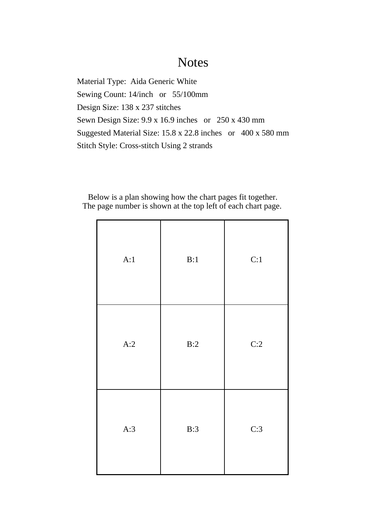## **Notes**

Material Type: Aida Generic White Sewing Count: 14/inch or 55/100mm Design Size: 138 x 237 stitches Sewn Design Size: 9.9 x 16.9 inches or 250 x 430 mm Suggested Material Size: 15.8 x 22.8 inches or 400 x 580 mm Stitch Style: Cross-stitch Using 2 strands

Below is a plan showing how the chart pages fit together. The page number is shown at the top left of each chart page.

| A:1 | B:1 | C:1 |
|-----|-----|-----|
| A:2 | B:2 | C:2 |
| A:3 | B:3 | C:3 |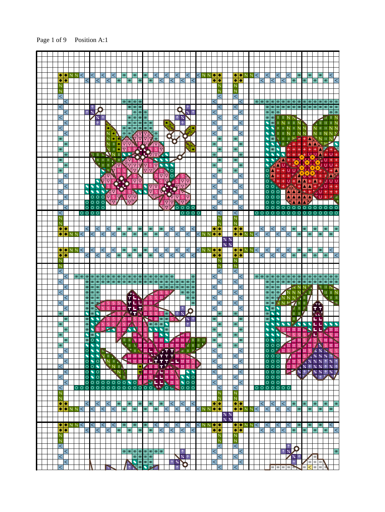Page 1 of 9 Position A:1

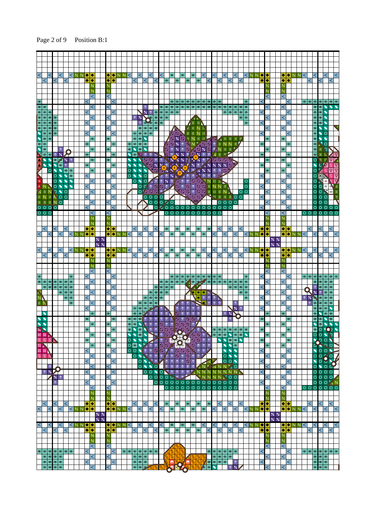Page 2 of 9 Position B:1

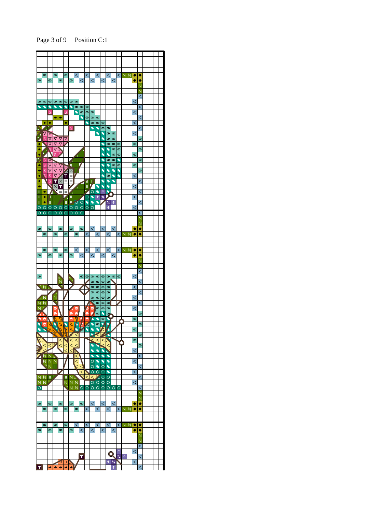Page 3 of 9 Position C:1

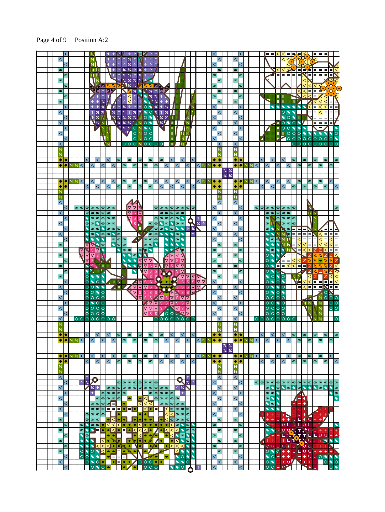Page 4 of 9 Position A:2

| $\,<\,$                                                                       | N                                                                                                                                                                                                                                                                                                                                                                                                              |                                                                                                                                                                                                                                                                                                          | $\,<\,$                                                         | $\leq$<br>$=$<br>$\leq$<br>$=$                                                                                                                                                                       |
|-------------------------------------------------------------------------------|----------------------------------------------------------------------------------------------------------------------------------------------------------------------------------------------------------------------------------------------------------------------------------------------------------------------------------------------------------------------------------------------------------------|----------------------------------------------------------------------------------------------------------------------------------------------------------------------------------------------------------------------------------------------------------------------------------------------------------|-----------------------------------------------------------------|------------------------------------------------------------------------------------------------------------------------------------------------------------------------------------------------------|
| $\,<\,$                                                                       | N.<br>↑                                                                                                                                                                                                                                                                                                                                                                                                        |                                                                                                                                                                                                                                                                                                          | $\overline{<}$                                                  | 不安<br>$\lt$<br>$=$<br>$=$<br>$\equiv$<br>$=$                                                                                                                                                         |
| $\infty$                                                                      | $%$ %<br>мh<br>$\uparrow$<br>个<br>个                                                                                                                                                                                                                                                                                                                                                                            | $\frac{9}{4}$<br>$\uparrow$<br>$\uparrow$<br>Ш                                                                                                                                                                                                                                                           |                                                                 | 념<br>E<br>$\lt$<br>$\lt$<br>$=$<br>$=$<br>6<br>$=$                                                                                                                                                   |
|                                                                               | $\boldsymbol{\%}$<br>$\boldsymbol{\%}$<br>个<br>$\uparrow$<br>ЦN                                                                                                                                                                                                                                                                                                                                                |                                                                                                                                                                                                                                                                                                          | ഻ൕ                                                              | $=$<br>$=$<br>$=$<br>$=$<br>$\infty$                                                                                                                                                                 |
| $^\circledR$                                                                  | $\uparrow$                                                                                                                                                                                                                                                                                                                                                                                                     | $\times$ 1 1                                                                                                                                                                                                                                                                                             |                                                                 | Ξ                                                                                                                                                                                                    |
| $\infty$                                                                      | $\frac{1}{6}$ %<br>$\triangle$<br>N<br>$M\%$                                                                                                                                                                                                                                                                                                                                                                   | $\frac{2}{\sqrt{2}}$<br>-11                                                                                                                                                                                                                                                                              | $\infty$                                                        | $\equiv$<br>$\infty$<br>$\quad =$<br>$=$<br>$=$<br>$\vert =$<br>$\lt$<br>ミラ                                                                                                                          |
| $\infty$                                                                      | <b>NATION</b><br>$\frac{9}{4}$<br>Ø                                                                                                                                                                                                                                                                                                                                                                            | <b>IQR</b>                                                                                                                                                                                                                                                                                               | $\infty$                                                        | $=$<br>$\overline{\phantom{a}}$<br>< <br>$^\circledR$<br>$\overline{<}$<br>↵                                                                                                                         |
| $\infty$                                                                      | $\boxed{\Delta}\uparrow\boxed{\Delta}\uparrow$                                                                                                                                                                                                                                                                                                                                                                 | $\times \mathbb{N}^*$ %<br>$\nabla^{\mathcal{P}}$<br>个<br>Ш                                                                                                                                                                                                                                              | $\infty$                                                        | ${}^{\circ}\hspace{-1.5pt}$<br>$\,<$                                                                                                                                                                 |
| $\infty$                                                                      | $\hat{\mathcal{T}}$<br>$\gamma$<br>$\uparrow$<br>$\uparrow$<br>$\,<\,$                                                                                                                                                                                                                                                                                                                                         | 1 N<br>$\boldsymbol{\varkappa}$<br>Π.<br>$\blacktriangleright$ %                                                                                                                                                                                                                                         | Ħ<br>$\infty$                                                   | $\overline{<}$<br>$\leq$<br><b>STERFIELD</b>                                                                                                                                                         |
| $\infty$                                                                      | $\uparrow$<br>$\boldsymbol{\%}$<br>$\uparrow$<br>个<br>$\,<\,$<br>个                                                                                                                                                                                                                                                                                                                                             | $\boldsymbol{\times}$<br>个个<br>Ш                                                                                                                                                                                                                                                                         | N<br>${}^{\circ}\hspace{-1.5pt}$                                | <u>sulmmining</u><br>$\mathbf{Z}$<br>$\,<$<br>$\infty$<br>$\,<\,$                                                                                                                                    |
| <                                                                             | $\uparrow$<br>$\frac{9}{4}$<br>$\frac{9}{4}$<br>$\uparrow$<br>$\uparrow$                                                                                                                                                                                                                                                                                                                                       | $\blacktriangleleft$ %<br>$\uparrow$<br>$\frac{9}{4}$<br>$\uparrow$<br>$\circ$                                                                                                                                                                                                                           | $\lt$                                                           | <b>SSSSSS</b><br><<br>$\lt$<br>k<br>$\overline{\phantom{a}}$<br>$\bullet$                                                                                                                            |
| $\,<$                                                                         | $%$ %<br>$\frac{9}{6}$<br>$\boldsymbol{\mathsf{z}}$<br>$\uparrow$ % $\uparrow$                                                                                                                                                                                                                                                                                                                                 | $\bullet$ O X<br>$\times$ 1     <br>$\uparrow$                                                                                                                                                                                                                                                           | 111<br>$\,<\,$                                                  | $\overline{O}$<br>$\leq$<br>$\bullet$<br>$=$<br>$=$<br>$\,<\,$<br>$=$                                                                                                                                |
| $\,<\,$                                                                       | $\boldsymbol{\%}$<br>$\%$ %<br>$\boldsymbol{\%}$<br>$\boldsymbol{\varkappa}$<br>$\boldsymbol{\%}$                                                                                                                                                                                                                                                                                                              | $\boldsymbol{\mathsf{z}}$<br>$\circ \bullet$<br>$\mathcal{H}$                                                                                                                                                                                                                                            | N I<br>$\lt$                                                    | $\bullet$<br>$\circ$<br>$=$<br>$=$<br>$\,<\,$<br>$\bullet$<br>$=$<br>THE UT<br>$=$                                                                                                                   |
| $\,<$                                                                         | $\sqrt{2.4}$<br>$\mathbf{v}$<br>$\boldsymbol{\%}$<br>'N.                                                                                                                                                                                                                                                                                                                                                       | $\varkappa$ V<br>NO <sup>.</sup>                                                                                                                                                                                                                                                                         | N<br>$\lt$                                                      | $\sqrt{10}$<br>$=$<br>$\leq$<br>$\circ \bullet$<br>$=$<br>$\equiv$                                                                                                                                   |
| $\lt$                                                                         | $\frac{3}{2}$ % $\frac{9}{2}$ 0                                                                                                                                                                                                                                                                                                                                                                                | $\mathbf{x}$<br>$\bullet$<br>N.<br>π                                                                                                                                                                                                                                                                     | $\mathbb N$<br>$\,<$                                            | $\,<$<br><b>ALLOON</b><br>$\bullet$                                                                                                                                                                  |
| $\,<$                                                                         | ×7<br>N N                                                                                                                                                                                                                                                                                                                                                                                                      | $\overline{O}$ N $\overline{O}$ O<br>$\mathbf{H}$                                                                                                                                                                                                                                                        | <b>TIN</b><br>$\,<\,$                                           | 000000<br>$\leq$<br>$\parallel$ H $\parallel$ H $\parallel$<br>$\bullet$<br>Æ.<br>$\bullet$                                                                                                          |
| $\,<\,$                                                                       | $\mathbb N$                                                                                                                                                                                                                                                                                                                                                                                                    | $ON$ $OO$<br>$\mathbf{H}^{\ast}$                                                                                                                                                                                                                                                                         | N I A<br>$\lt$                                                  | И<br>000000000<br>$\,<$<br>சி ரா ம                                                                                                                                                                   |
| $\,<$                                                                         | $\overline{N}$                                                                                                                                                                                                                                                                                                                                                                                                 | ĪĪ                                                                                                                                                                                                                                                                                                       | N.<br>$\,<$                                                     | <u>ololololololo</u><br>$\,<\,$                                                                                                                                                                      |
| Ń                                                                             |                                                                                                                                                                                                                                                                                                                                                                                                                |                                                                                                                                                                                                                                                                                                          | N                                                               | Ñ                                                                                                                                                                                                    |
| N                                                                             |                                                                                                                                                                                                                                                                                                                                                                                                                |                                                                                                                                                                                                                                                                                                          | N                                                               | N                                                                                                                                                                                                    |
|                                                                               | $\infty$<br>$^\circledR$                                                                                                                                                                                                                                                                                                                                                                                       | $^{\circ}$                                                                                                                                                                                                                                                                                               |                                                                 | $\lt$<br>$\infty$<br>®<br>$^\circledR$<br>$\infty$<br>$\infty$                                                                                                                                       |
| $\bullet\bullet$                                                              | $\lt$<br>$\lt$                                                                                                                                                                                                                                                                                                                                                                                                 | $\lt$<br>$\lt$<br>$\infty$<br>$\infty$                                                                                                                                                                                                                                                                   | $\lt$<br>$\bullet\bullet$                                       | $\bullet\bullet$<br>$\lt$<br>$\,<\,$                                                                                                                                                                 |
| $\blacklozenge$ $\blacktriangleright$ $\mathbb{N}$ $\mathbb{N}$ $\mathbb{N}$  | $\sigma$<br>$\,<\,$<br>$\,<\,$<br> ത<br>$\prec$                                                                                                                                                                                                                                                                                                                                                                | $\infty$<br> ത <br>$\,<\,$<br>$\,<\,$                                                                                                                                                                                                                                                                    | KNN♦<br>$\prec$                                                 | $\blacklozenge$ $\blacktriangleright$ $\bowtie$ $\bowtie$<br>$\pmb{\infty}$<br>$^\circledR$<br>$\,<\,$<br>∣<<br>$\,<\,$<br> ത <br>$\circ$                                                            |
|                                                                               |                                                                                                                                                                                                                                                                                                                                                                                                                |                                                                                                                                                                                                                                                                                                          | $\%$ %                                                          |                                                                                                                                                                                                      |
|                                                                               |                                                                                                                                                                                                                                                                                                                                                                                                                |                                                                                                                                                                                                                                                                                                          | $\frac{2}{10}$                                                  |                                                                                                                                                                                                      |
| $\blacklozenge$ $\blacktriangleright$ $\mathbb{N}$ $\mathbb{N}$ $\leq$ $\mid$ | ⊲<br>$ \infty $<br>$\infty$<br>$\leq$<br>$\prec$                                                                                                                                                                                                                                                                                                                                                               | $\infty$<br>$\lt$<br>$\leq$<br>$\,<\,$                                                                                                                                                                                                                                                                   | KNN♦<br>∣<∣                                                     | $\blacklozenge$ NNN<br>kl<br>$\lt$<br>$^\infty$<br>$ \infty $<br>$\infty$<br><<br>∣<                                                                                                                 |
| $\bullet$<br>٠                                                                | $\lt$<br>$\,<$<br>$ \infty $                                                                                                                                                                                                                                                                                                                                                                                   | $\circ$<br>$\lt$<br>$\lt$<br>$\lt$<br>$\infty$                                                                                                                                                                                                                                                           | $\blacklozenge$<br>$\,<$<br>$\bullet$                           | ◆│◆<br>$\,<$<br>$\lt$<br>$\lt$<br>$\infty$<br> ത<br>@<br>$\infty$                                                                                                                                    |
| Ñ                                                                             |                                                                                                                                                                                                                                                                                                                                                                                                                |                                                                                                                                                                                                                                                                                                          | N                                                               | Ñ                                                                                                                                                                                                    |
| N                                                                             |                                                                                                                                                                                                                                                                                                                                                                                                                |                                                                                                                                                                                                                                                                                                          | N                                                               | $\mathbb N$                                                                                                                                                                                          |
| $\overline{<}$                                                                |                                                                                                                                                                                                                                                                                                                                                                                                                |                                                                                                                                                                                                                                                                                                          | $\lt$                                                           | $\leq$                                                                                                                                                                                               |
| $\,<\,$                                                                       | ſ⊽<br>$\omega$    $\omega$    $\omega$    $\omega$    $\omega$    $\omega$    $\omega$    $\omega$    $\omega$    $\omega$    $\omega$    $\omega$    $\omega$    $\omega$    $\omega$    $\omega$    $\omega$    $\omega$    $\omega$    $\omega$    $\omega$    $\omega$    $\omega$    $\omega$    $\omega$    $\omega$    $\omega$    $\omega$    $\omega$    $\omega$    $\omega$    $\omega$<br>$\Delta$ | 4<br>$\infty$    ത $\infty$    ത $\infty$    ത                                                                                                                                                                                                                                                           | $\,<$                                                           | $\,<$<br>စ စ စ စ စ စ စ စ                                                                                                                                                                             |
| $\mid \infty \mid$<br><                                                       | $\triangledown$<br>$\infty$ $\infty$ $\infty$<br>$\infty$<br>Š                                                                                                                                                                                                                                                                                                                                                 | $\nabla$<br>യ യ <br> യ $\alpha$  യ                                                                                                                                                                                                                                                                       | $\,<\,$                                                         | $\infty$ $\infty$ $\infty$ $\infty$<br>$\lt$<br>${}^{\circ}\hspace{-1.5pt}$<br><b>IT K</b>                                                                                                           |
| $\blacktriangleright$<br>$\leq$                                               | $\circ \circ \circ$<br>$\nabla$ s s                                                                                                                                                                                                                                                                                                                                                                            | $\boxed{\circ}$ $\boxed{\circ}$ $\boxed{\circ}$ $\boxed{\circ}$                                                                                                                                                                                                                                          | $\,<\,$                                                         | $\circ$ $\circ$ $\circ$ $\circ$ $\circ$<br>$\,<\,$<br>I N                                                                                                                                            |
| $\,<$<br>$ \bm{\infty} $                                                      | $^\circledR$<br>S<br>$\bullet$<br> യ $\sim$  യ<br>$\infty$                                                                                                                                                                                                                                                                                                                                                     | ख<br>$\overline{\phantom{0}}$<br> ထ ထ <br>$\bullet$<br>$\mid \infty \mid$<br>$\infty$ $\infty$                                                                                                                                                                                                           | $\times$ 1<br>$\lt$                                             | $\,<$<br>$\mathbf{N}$ $\infty$ $\infty$ $\infty$<br>$\infty$<br>N                                                                                                                                    |
| $\lt$<br>$\blacktriangleright$                                                | $\omega$ $\sim$ $\sim$ $\omega$ $\sim$                                                                                                                                                                                                                                                                                                                                                                         | $\P$ $\blacksquare$                                                                                                                                                                                                                                                                                      | K                                                               | $\infty$<br>ENN                                                                                                                                                                                      |
|                                                                               |                                                                                                                                                                                                                                                                                                                                                                                                                | "∡ ∞ ∞ <br>$\sqrt{2}$ 0 $\sigma$                                                                                                                                                                                                                                                                         | $\,<$                                                           | $\,<$<br><b>ONNN</b><br>$=$ $=$<br>Ξ                                                                                                                                                                 |
| K                                                                             | $\infty$<br>$\bullet$<br>$\pmb{\infty}$<br>$^\circledR$<br>$ \bm{\omega} $<br>$\bullet$                                                                                                                                                                                                                                                                                                                        | $\blacktriangleright$<br>$\bullet$<br>$\infty$<br>$\bullet$                                                                                                                                                                                                                                              | $\uparrow$<br>$\lt$                                             | NNP<br>$=$<br>$\,<$<br>$=$<br>$=$<br>$=$                                                                                                                                                             |
| $\blacktriangleright$<br>$\,<\,$                                              | $\bullet$<br>$\bullet$<br>$ \bm{\varpi} \bm{\varpi} \bm{\varpi} $                                                                                                                                                                                                                                                                                                                                              | $\boxed{\circledcirc}$<br>$\bullet$<br>$\circ$ $\circ$                                                                                                                                                                                                                                                   | $\,<\,$                                                         | ⋜<br>$\infty$ $\sim$ $\sim$ $\sim$<br>$=$<br>$=$<br>$=$<br>$\,<\,$<br>$=$<br>$\,<\,$                                                                                                                 |
| ⊠<br>OD.                                                                      | $\sum$<br>$\infty$ $\infty$<br>$\bullet$                                                                                                                                                                                                                                                                                                                                                                       | $\circ$ $\circ$<br>$\bullet$<br>$\bullet$<br>$\bullet$<br>٩                                                                                                                                                                                                                                              | $\infty$                                                        | $\overline{<}$<br>$\overline{\phantom{a}}$<br>$\lt$<br>$=$<br>$\bullet$<br>NN.<br>$=$<br>$\,<$<br>@                                                                                                  |
| $\overline{\nabla}$ l<br>$\infty$                                             | <b>RISIDIN</b><br>$\bullet$ $\circ$ $\circ$                                                                                                                                                                                                                                                                                                                                                                    | $\circ$ $\circ$<br>$\overline{\bullet}$<br>$\sqrt{2}$                                                                                                                                                                                                                                                    | $\infty$                                                        | $\overline{<}$<br>$=$<br>$\leq$<br>OIIINN<br> ത                                                                                                                                                      |
| $\infty$                                                                      | ⊽ा⊽ाऽा∖<br>$\blacklozenge$<br>$\bullet$                                                                                                                                                                                                                                                                                                                                                                        | ⊀⊽⊽<br>$\circ$ $\bullet$ $\bullet$<br>  [                                                                                                                                                                                                                                                                | $\infty$                                                        | <u>ा पत्र</u><br>W<br>Ξ<br>Z<br>D<br>Ż<br>$\,<$<br>$\infty$<br>Ζ                                                                                                                                     |
| I⊽<br>$\infty$                                                                | $\blacktriangleright$<br>$S_n$<br>$\bullet$<br>$\bullet$                                                                                                                                                                                                                                                                                                                                                       | $\nabla\nabla$ s<br>$\overline{\nabla}$<br>$\Delta  \Delta  \Delta$                                                                                                                                                                                                                                      | $\infty$                                                        | ⋜<br>OSZE<br>$\equiv$<br>$\overline{<}$<br>$Z \setminus N$<br>Ø<br>۰                                                                                                                                 |
| ъ<br>$\infty$                                                                 | <b>NO ON</b><br>$\mathbb{R}^n$ if $\mathbb{R}$                                                                                                                                                                                                                                                                                                                                                                 | $\nabla$ s<br>ΔV<br>$\nabla$ s<br>$\Delta \Delta $                                                                                                                                                                                                                                                       | $\infty$                                                        | $\overline{\circ}$<br>Ξ<br>l=<br>$=$<br>$\overline{\phantom{a}}$<br>$\lt$<br>$\quad =$<br>$\infty$                                                                                                   |
| $^\circledR$                                                                  | $\blacktriangleright$ $\times$ $\blacksquare$ $\times$<br>HШ<br>$\blacklozenge$                                                                                                                                                                                                                                                                                                                                | VVS<br>$\frac{1}{2}$<br>S                                                                                                                                                                                                                                                                                | ര                                                               | 0.05<br>$\circ$<br>$=$<br>$=$ $=$                                                                                                                                                                    |
| <b>O</b><br>$\pmb{\infty}$                                                    | $\blacklozenge$<br>$\bullet$<br>$\bullet$                                                                                                                                                                                                                                                                                                                                                                      | C<br>33<br>$\mathbb S$                                                                                                                                                                                                                                                                                   | $\Delta \Delta $<br>$\infty$                                    | $\circ \bullet \circ$<br>N M<br>$=$<br>⊲<br>$\,<$<br>$\circledcirc$<br>z<br>$=$<br>$\,<\,$                                                                                                           |
| $\circ$<br>$\lt$                                                              | $\bullet$<br>$\circ$<br>$\blacksquare$ 11 $\times$ 11<br>$\bullet$                                                                                                                                                                                                                                                                                                                                             | <b>AVSS</b><br><b>OS</b>                                                                                                                                                                                                                                                                                 | $\mathsf S$<br>$\Delta$<br>$\mathsf S$<br>$ \nabla $<br>$\prec$ | V<br>$\overline{<}$<br>$\lt$<br>$\lt$<br>$\circ\bullet\circ\bullet$<br>Ē<br>$=$<br>$\,<\,$<br>$=$                                                                                                    |
| $\circ$<br>$\,<$                                                              | V<br>$\circ$<br>$\bullet$<br>$\bullet$<br>$\mathbb{Z}$ II<br>$\mathbf{u}_\mathcal{A}$                                                                                                                                                                                                                                                                                                                          | $\nabla$<br>▽│<br>S                                                                                                                                                                                                                                                                                      | $\mathsf S$<br>$\mathsf S$<br>$\nabla$<br>▽∣<br>$\,<$           | $\circ \bullet \bullet \circ$<br>$=$<br>$=$<br>$\,<$<br>$\,<$<br>$\quad =$<br>$=$<br>$=$<br>$=$                                                                                                      |
| $\circ$<br>$\,<\,$                                                            | $ \nabla$<br>$\circ \bullet$<br>$\circ$                                                                                                                                                                                                                                                                                                                                                                        | 99,<br>SSS<br>$\mathsf S$<br>$\mathsf S$<br>S.                                                                                                                                                                                                                                                           | $\triangledown$<br>$\lt$                                        | $  \circ   \bullet  $<br>$=$<br>$=$<br>FXON<br>$\circ \bullet$<br>$\,<\,$<br>$=$<br>$=$                                                                                                              |
| $\,<\,$                                                                       | $\circ \circ \circ \circ$                                                                                                                                                                                                                                                                                                                                                                                      | s<br>$\boxed{\nabla \mathbf{s}} \boxed{\nabla \mathbf{v}}$<br>$\triangledown$<br>$\mathbb S$<br>⊠<br> S <br>◢                                                                                                                                                                                            | $\leq$                                                          | $=$<br>国<br>$\n  N$ $\circ$ $\circ$<br><<br>$\circ \circ \circ \circ$                                                                                                                                |
| $\lt$                                                                         | $\circ \bullet \circ \circ$                                                                                                                                                                                                                                                                                                                                                                                    | ⊽<br>$\mathsf S$<br>$\overline{\mathsf{S}}$<br>$\sqrt{N}$<br>$ \Delta $<br> S                                                                                                                                                                                                                            | $S\nabla$<br>$\overline{\phantom{0}}$                           | $\,<$<br>○○●○<br>ାଠ<br>$N_{\rm A}$                                                                                                                                                                   |
| $\,<$                                                                         | 0000                                                                                                                                                                                                                                                                                                                                                                                                           | S SONV<br>∇∣⊽<br>$\Delta$<br>S                                                                                                                                                                                                                                                                           | $\overline{\nabla}$<br>$\,<$                                    | 0000<br>$\circ$ $\circ$<br>$\,<$<br><b>JNII N</b>                                                                                                                                                    |
| $\lt$                                                                         |                                                                                                                                                                                                                                                                                                                                                                                                                | $\nabla$ s<br>$S \sim 000 \sqrt{20}$                                                                                                                                                                                                                                                                     | $\overline{<}$                                                  | 0000<br>$\,<\,$<br>NNN                                                                                                                                                                               |
|                                                                               |                                                                                                                                                                                                                                                                                                                                                                                                                | 00000000                                                                                                                                                                                                                                                                                                 |                                                                 | ololololololo                                                                                                                                                                                        |
| $\,<$                                                                         | ololololololo                                                                                                                                                                                                                                                                                                                                                                                                  |                                                                                                                                                                                                                                                                                                          | $\,<\,$                                                         | $\,<\,$<br>NN.                                                                                                                                                                                       |
|                                                                               |                                                                                                                                                                                                                                                                                                                                                                                                                |                                                                                                                                                                                                                                                                                                          |                                                                 | N                                                                                                                                                                                                    |
| N                                                                             |                                                                                                                                                                                                                                                                                                                                                                                                                |                                                                                                                                                                                                                                                                                                          | N                                                               | $\mathbb N$                                                                                                                                                                                          |
| ◆│◆                                                                           | $\infty$<br>$\infty$                                                                                                                                                                                                                                                                                                                                                                                           | $\circ$<br>$^\circledR$<br>$\,<$<br>$^\circledR$                                                                                                                                                                                                                                                         | ٠<br>٠                                                          | ◆│◆<br>ത<br> ထ<br>$\pmb{\infty}$<br>$\,<\,$<br>$\infty$<br>œ                                                                                                                                         |
| $\bigcap_{i=1}^{n}$                                                           | യ<br>യ                                                                                                                                                                                                                                                                                                                                                                                                         | oo ∣                                                                                                                                                                                                                                                                                                     | KNNO I                                                          | $\bullet\bullet{\color{red}N}{\color{red}N}<$<br>ത<br>oo j<br>oo.<br>œ                                                                                                                               |
|                                                                               |                                                                                                                                                                                                                                                                                                                                                                                                                |                                                                                                                                                                                                                                                                                                          | $\mathcal{Z}$ %                                                 |                                                                                                                                                                                                      |
|                                                                               |                                                                                                                                                                                                                                                                                                                                                                                                                |                                                                                                                                                                                                                                                                                                          | $\frac{1}{6}$ %                                                 |                                                                                                                                                                                                      |
| $\big \bullet\big \bullet\big \mathbb{N}\big \mathbb{N}\big \leq\big $        | $\lt$<br>$\lt$<br> ထ <br>$\circ$<br>$\prec$                                                                                                                                                                                                                                                                                                                                                                    | $\infty$<br>$\lt$<br>$\leq$<br>$\,<\,$                                                                                                                                                                                                                                                                   | $ < N $ n $ \bullet \bullet $<br>$\vert$ $\vert$                | $\left\  \bullet \right $ N N $\left  < \right $<br>$\,<$<br>$\infty$<br> ထ <br>$\infty$<br>$\prec$<br>$\,<\,$<br>$\,<\,$                                                                            |
| $\bullet$<br>٠<br>$\,<$                                                       | <<br>$\,<$<br> ത $\mid$<br>${}^{\circ}\hspace{-1.5pt}$                                                                                                                                                                                                                                                                                                                                                         | $\lt$<br>$\circ$<br>$\,<$<br>$\leq$<br>$\infty$                                                                                                                                                                                                                                                          | ◆│◆<br>$\,<$                                                    | $\lt$<br>$\,<$<br>$\bullet\bullet$<br>$\leq$<br>$\lt$<br>$  \, \infty \,$<br> ത<br>$\infty$<br>$\pmb{\infty}$                                                                                        |
| Ñ                                                                             |                                                                                                                                                                                                                                                                                                                                                                                                                |                                                                                                                                                                                                                                                                                                          | N                                                               | Ñ                                                                                                                                                                                                    |
| N                                                                             |                                                                                                                                                                                                                                                                                                                                                                                                                |                                                                                                                                                                                                                                                                                                          | N                                                               | $\mathbb N$                                                                                                                                                                                          |
| $\lt$<br>∣↑                                                                   |                                                                                                                                                                                                                                                                                                                                                                                                                |                                                                                                                                                                                                                                                                                                          | $\leq$<br>$\uparrow$                                            | $\leq$                                                                                                                                                                                               |
| $\uparrow$ %<br>$\leq$                                                        | <b>P</b>                                                                                                                                                                                                                                                                                                                                                                                                       | $\infty$  တ $ \infty $ တ $ \infty $ တ $ \infty $                                                                                                                                                                                                                                                         | $\boldsymbol{\times}$ $\uparrow$<br>$\lt$                       | $\,<$                                                                                                                                                                                                |
|                                                                               | $\times$ 1                                                                                                                                                                                                                                                                                                                                                                                                     | $\boxed{\boldsymbol{\Phi}}$ $\boxed{\boldsymbol{\Phi}}$ $\boxed{\boldsymbol{\Phi}}$ $\boxed{\boldsymbol{\Phi}}$ $\boxed{\boldsymbol{\Phi}}$ $\boxed{\boldsymbol{\Phi}}$ $\boxed{\boldsymbol{\Phi}}$ $\boxed{\boldsymbol{\Phi}}$ $\boxed{\boldsymbol{\Phi}}$<br>$\uparrow$ $\times$ $\blacktriangleright$ |                                                                 | $\circledcirc \bullet \circledcirc \bullet \circledcirc \bullet \bullet \bullet$<br>$\,<$<br>$\circ$ $\bullet$<br> ത<br>$\blacktriangleright$                                                        |
| $\,<$                                                                         | $\hat{\uparrow}$<br>$\infty$ $\infty$ $\infty$ $\infty$                                                                                                                                                                                                                                                                                                                                                        | $\omega$ $\omega$ $\omega$ $\omega$ $\omega$<br>$\uparrow$                                                                                                                                                                                                                                               | $\,<$                                                           | $\circ$ $\circ$ $\circ$<br>l oo                                                                                                                                                                      |
| $\lt$                                                                         |                                                                                                                                                                                                                                                                                                                                                                                                                |                                                                                                                                                                                                                                                                                                          | $\overline{<}$                                                  | $\,<$<br>$\bullet$<br>$\mathbf{A}$                                                                                                                                                                   |
| $\,<$                                                                         | $\infty$ $\infty$ $\infty$ $\infty$ $\infty$<br>٠                                                                                                                                                                                                                                                                                                                                                              | $ \omega $ စ $ \omega $ စ $ \omega $<br>⋜<br>۰۱                                                                                                                                                                                                                                                          | $\leq$                                                          | $\bullet$ $\bullet$<br>$\leq$<br>$\sqrt{1+1}$<br>$\bullet$                                                                                                                                           |
| $\lt$                                                                         | $\circ \circ \circ \circ =$<br>٠                                                                                                                                                                                                                                                                                                                                                                               | ⋜<br>⊲ব<br>$\infty$   $\infty$   $\infty$   $\infty$                                                                                                                                                                                                                                                     | $\lt$                                                           | $\,<$<br>$\bullet$ 0 $\bullet$<br>$+ +$<br>$\ddot{}$                                                                                                                                                 |
| $\,<$                                                                         | $\circledcirc \circledcirc = = = \bullet = \bullet$                                                                                                                                                                                                                                                                                                                                                            | $ < ∞ ∞ ∞ ∞ $                                                                                                                                                                                                                                                                                            | $\,<\,$                                                         | $+U$<br>$\leq$<br>$\bullet\bullet\bullet$<br>$+$<br>不干头                                                                                                                                              |
| $\lt$                                                                         | $\boxed{\circledcirc}$ $\boxed{\circledcirc}$ $\boxed{\circledcirc}$<br>┓ⅎ<br>o El                                                                                                                                                                                                                                                                                                                             | <b>⊟⊟ ∙∣∙ ⊟⊟⊟ &lt;∣&lt; ∞ ∞ ∞</b>                                                                                                                                                                                                                                                                        | $\lt$                                                           | $+$ U + $+$ + + $+$<br>$\,<$<br>$\frac{1}{2}$ + + + + +                                                                                                                                              |
| $\overline{\circ}$<br>OD.                                                     | $\overline{\circ}$ $\overline{\circ}$<br>o o<br>ᢛ<br>$=$<br>∙ ⊲                                                                                                                                                                                                                                                                                                                                                | $\overline{\bullet}\overline{\bullet}$<br>$\sim$<br>$= $ $ < ∞ ∞ ∞ ∞ ∞$                                                                                                                                                                                                                                  | $\infty$                                                        | $+$ + $\cup$ + + $\cup$ $\Box$ + $\cup$ + + $\angle$<br>ග                                                                                                                                            |
| $\circ$ $\circ$<br>$\infty$                                                   | ல $  \circ   \bullet  $ <<br>च∙<br>$\mid < \mid$<br>⋜<br>٠                                                                                                                                                                                                                                                                                                                                                     | $ {\bf 1}\bullet  \bullet   \bullet   \bullet  $                                                                                                                                                                                                                                                         | ۱œ                                                              | <u>и</u><br> ത                                                                                                                                                                                       |
| $\circ \bullet \bullet$ $\blacksquare$<br>$\infty$                            | $ \bullet \bullet < $<br>$\left\  \bullet \right\  = \left\  \bullet \right\  < 1$                                                                                                                                                                                                                                                                                                                             | $\,<$<br>$ < $ $\bullet$ $ /$ $\bullet$ $ < <$                                                                                                                                                                                                                                                           | $<$ $\circ$ $\circ$ $\circ$<br>$\circ$                          | $2 +   +   +   +   +  $<br>$\infty$                                                                                                                                                                  |
| $\blacksquare$<br>$^\circledR$                                                | $=$ $=$ $=$ $=$<br>$\cdot$ $\cdot$ $\cdot$<br>$=$                                                                                                                                                                                                                                                                                                                                                              | <b>ENCO</b><br>$\bullet$ $\leq$ $\bullet$                                                                                                                                                                                                                                                                | $\circ$ $\circ$ $\circ$<br> യ                                   | $ \infty $                                                                                                                                                                                           |
| $\infty$                                                                      | <u>SSSER-NJE</u>                                                                                                                                                                                                                                                                                                                                                                                               | ∙ I⊲                                                                                                                                                                                                                                                                                                     | $\bullet$ 0 $\bullet$<br>$\infty$                               | $\infty$                                                                                                                                                                                             |
| $\bullet$<br>$\infty$                                                         | $\blacktriangleleft$<br><u>Reperts</u>                                                                                                                                                                                                                                                                                                                                                                         | ∙[<<br>$\sim$ $\sim$<br>$\lt$                                                                                                                                                                                                                                                                            | 10 S<br>$\infty$                                                | $\frac{1}{2}$<br> ത                                                                                                                                                                                  |
| $\infty$<br>$\circ \bullet$                                                   | ONK⊡∙F⊡N∙NI                                                                                                                                                                                                                                                                                                                                                                                                    | V<br>⊲<br>٠                                                                                                                                                                                                                                                                                              | $\sqrt{2}$<br>$\infty$                                          | $\circ \bullet \overline{q}$ + + $\overline{u}$ $\overline{u}$ $\overline{u}$ $\overline{u}$ $\overline{u}$ $\overline{u}$ $\overline{u}$ $\overline{u}$ $+$ + + + $\overline{u}$<br>$\infty$        |
|                                                                               | $\blacktriangleleft$<br>$\bullet \mathsf{F}$<br>$=$<br>$=$<br>$\triangleright$                                                                                                                                                                                                                                                                                                                                 | $\sqrt{2}$<br>٠                                                                                                                                                                                                                                                                                          | <b>NONN</b><br>$\lt$                                            | $\,<\,$                                                                                                                                                                                              |
|                                                                               |                                                                                                                                                                                                                                                                                                                                                                                                                |                                                                                                                                                                                                                                                                                                          |                                                                 |                                                                                                                                                                                                      |
| $\circ$ $\circ$<br>$\lt$                                                      |                                                                                                                                                                                                                                                                                                                                                                                                                |                                                                                                                                                                                                                                                                                                          |                                                                 |                                                                                                                                                                                                      |
| $\overline{\phantom{0}}$<br>$\circlearrowright$<br>$\,<\,$                    | $\bullet$ 0 $\bullet$<br>o<br>l.<br>$\circ \bullet \circ \bullet$<br>$\bullet$                                                                                                                                                                                                                                                                                                                                 | $\bullet\bullet\circ$<br>$\overline{\circ}$ $\overline{\circ}$ $\overline{\circ}$<br>$\bullet$<br>$\bullet$                                                                                                                                                                                              | $\,<$<br>$\,<\,$                                                | $\frac{1}{2}$ + + U<br>$\circ \bullet$ + + $\cup \prime \bullet$<br>$\,<$<br>$\circ \bullet \circ$<br>$\begin{array}{c c} \circ & \circ & + \cup & - \end{array}$<br>$\Gamma$ +U<br>$\,<$<br>$\circ$ |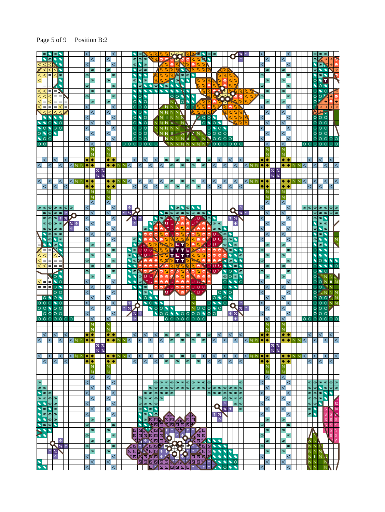#### Page 5 of 9 Position B:2

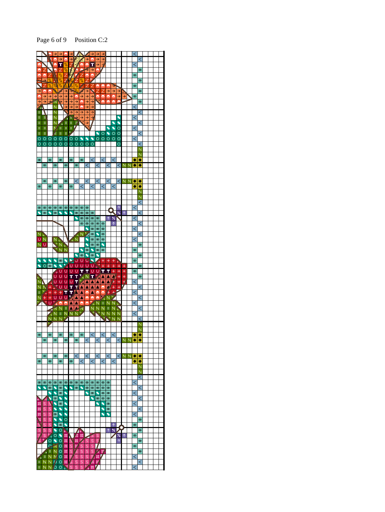Page 6 of 9 Position C:2

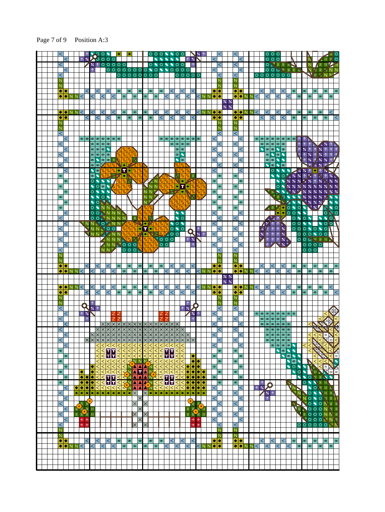### Page 7 of 9 Position A:3

|  |                |              |                                         |             |                                           |              |                                        |                               |                                                                             |                                |                          |                                          |                                          |                                                |                   |                |                                              |                                          |                                                                         |                            |                                                            |                                                                     |                                                          |                                   |                |                           |                 |                               |                                                        |            |                   | 0 0 0                                                                            |                      |                                                                                                 |                                             |                             |                                         |                                   |                                                                                    |                               |                                   |                             |
|--|----------------|--------------|-----------------------------------------|-------------|-------------------------------------------|--------------|----------------------------------------|-------------------------------|-----------------------------------------------------------------------------|--------------------------------|--------------------------|------------------------------------------|------------------------------------------|------------------------------------------------|-------------------|----------------|----------------------------------------------|------------------------------------------|-------------------------------------------------------------------------|----------------------------|------------------------------------------------------------|---------------------------------------------------------------------|----------------------------------------------------------|-----------------------------------|----------------|---------------------------|-----------------|-------------------------------|--------------------------------------------------------|------------|-------------------|----------------------------------------------------------------------------------|----------------------|-------------------------------------------------------------------------------------------------|---------------------------------------------|-----------------------------|-----------------------------------------|-----------------------------------|------------------------------------------------------------------------------------|-------------------------------|-----------------------------------|-----------------------------|
|  |                |              |                                         |             | $\uparrow$ %                              |              |                                        |                               | 2500                                                                        | $\circ$                        |                          |                                          |                                          |                                                |                   |                |                                              |                                          |                                                                         |                            |                                                            | $\wedge$ XN                                                         |                                                          |                                   |                |                           |                 |                               |                                                        |            |                   | 000                                                                              |                      |                                                                                                 |                                             |                             |                                         |                                   |                                                                                    |                               |                                   |                             |
|  | $\,<\,$        | $\,<$        |                                         |             |                                           |              |                                        |                               | $\times$ 100000                                                             |                                |                          |                                          |                                          | $\circ$                                        |                   |                | $\circ \bullet$                              | $\circ$                                  | $\bullet$<br>$\circ$                                                    | $\circ$ $\circ$            | $\begin{array}{c} \circ \\ \circ \\ \circ \end{array}$     |                                                                     |                                                          |                                   | $\,<$          | $\,<\,$                   |                 | <                             | $\,<$                                                  |            |                   |                                                                                  |                      |                                                                                                 |                                             |                             |                                         |                                   |                                                                                    | $N/L$ ii ii<br>N 17   11   27 |                                   | N N                         |
|  | $\,<$          |              |                                         |             |                                           |              |                                        |                               |                                                                             |                                |                          |                                          |                                          | 00000000                                       |                   |                |                                              |                                          |                                                                         |                            |                                                            | $\circ \circ \circ \circ \circ$                                     |                                                          |                                   |                | $\,<\,$                   |                 | $\,<$                         |                                                        |            |                   | $\begin{array}{c c} \circ \circ \circ \circ \circ \circ \circ \circ \end{array}$ |                      |                                                                                                 |                                             |                             |                                         |                                   |                                                                                    | VITANY                        |                                   |                             |
|  | $\overline{N}$ |              |                                         |             |                                           |              |                                        |                               |                                                                             |                                |                          |                                          |                                          |                                                |                   |                |                                              |                                          |                                                                         |                            |                                                            |                                                                     |                                                          |                                   |                | N                         |                 | N                             |                                                        |            |                   |                                                                                  |                      |                                                                                                 |                                             |                             |                                         |                                   |                                                                                    |                               |                                   |                             |
|  | Ń              |              |                                         |             |                                           |              |                                        |                               |                                                                             |                                |                          |                                          |                                          |                                                |                   |                |                                              |                                          |                                                                         |                            |                                                            |                                                                     |                                                          |                                   |                |                           |                 | N                             |                                                        |            |                   |                                                                                  |                      |                                                                                                 |                                             |                             |                                         |                                   |                                                                                    |                               |                                   |                             |
|  |                | ◆│◆          | $\blacklozenge \blacktriangleright$ NN< |             |                                           | $\,<$        | $\,<\,$                                | $\lt$                         | $\,<\,$                                                                     | $\,<\,$<br>$\,<\,$             |                          | $\infty$                                 | $\circ$                                  | $\pmb{\circledcirc}$                           | യ                 | $\infty$       | $^{\circ}$                                   | $\circ$                                  | $\prec$<br>$\,<\,$                                                      | $\,<\,$                    | $\lt$                                                      | $\,<$<br>$\,<\,$                                                    |                                                          | KNNO                              |                | ◆│◆│                      |                 | ◆│◆                           | $\blacklozenge \blacktriangleright N$ $N <$            |            | $\lt$             | $\lt$<br>$\lt$                                                                   | $\lt$                | $\lt$                                                                                           | $\lt$                                       | $^\circledR$                | $^\infty$                               | യ                                 | $\infty$<br>$\infty$                                                               |                               | $^\circledR$                      | $\infty$                    |
|  |                |              |                                         |             |                                           |              |                                        |                               |                                                                             |                                |                          |                                          |                                          |                                                |                   |                |                                              |                                          |                                                                         |                            |                                                            |                                                                     |                                                          |                                   |                |                           | $\frac{1}{6}$ % |                               |                                                        |            |                   |                                                                                  |                      |                                                                                                 |                                             |                             |                                         |                                   |                                                                                    |                               |                                   |                             |
|  |                |              |                                         |             |                                           |              |                                        |                               |                                                                             |                                |                          |                                          |                                          |                                                |                   |                |                                              |                                          |                                                                         |                            |                                                            |                                                                     |                                                          |                                   |                |                           | $\frac{2}{6}$ % |                               |                                                        |            |                   |                                                                                  |                      |                                                                                                 |                                             |                             |                                         |                                   |                                                                                    |                               |                                   |                             |
|  |                |              | $\blacklozenge$ enni                    |             | $\lt$                                     |              |                                        |                               | <                                                                           | <                              |                          |                                          |                                          | $\infty$                                       | œ                 |                | ≺                                            |                                          | $\,<\,$                                                                 | $\,<\,$                    |                                                            | $\lt$                                                               |                                                          | KNNII                             |                |                           |                 |                               | $\leftrightarrow$ $\land$ NN                           |            |                   | $\,<$                                                                            |                      |                                                                                                 |                                             |                             | $\infty$                                |                                   | ത                                                                                  | $\infty$                      |                                   |                             |
|  | ٠<br>N         | ٠            |                                         |             |                                           | $\,<$        |                                        | $\,<\,$                       |                                                                             | $\,<\,$                        | $ \infty $               |                                          | l oo                                     | $\infty$                                       |                   | l oo           |                                              | $\,<\,$                                  | ∣<                                                                      |                            | $\,<\,$                                                    | $\,<\,$                                                             |                                                          |                                   | ٠              | ٠<br>N                    |                 | ◆│◆<br>N.                     |                                                        |            | $\,<\,$           | $\lt$                                                                            |                      | $\,<\,$                                                                                         |                                             | $^\circledR$                |                                         | $ \infty $                        | ത                                                                                  |                               | $\infty$                          |                             |
|  |                |              |                                         |             |                                           |              |                                        |                               |                                                                             |                                |                          |                                          |                                          |                                                |                   |                |                                              |                                          |                                                                         |                            |                                                            |                                                                     |                                                          |                                   |                |                           |                 | Ñ                             |                                                        |            |                   |                                                                                  |                      |                                                                                                 |                                             |                             |                                         |                                   |                                                                                    |                               |                                   |                             |
|  | $\,<\,$        |              |                                         |             |                                           |              |                                        |                               |                                                                             |                                |                          |                                          |                                          |                                                |                   |                |                                              |                                          |                                                                         |                            |                                                            |                                                                     |                                                          |                                   |                | $\,<\,$                   |                 | $\lt$                         |                                                        |            |                   |                                                                                  |                      |                                                                                                 |                                             |                             |                                         |                                   |                                                                                    |                               |                                   |                             |
|  |                | <            |                                         |             |                                           |              |                                        |                               | ဖြစ္ပြား ဖြစ္ပြား ဖြစ                                                       |                                |                          |                                          |                                          |                                                |                   |                |                                              |                                          | $\omega$    00   00   00   00   00                                      | $\omega$ $\omega$ $\omega$ |                                                            |                                                                     |                                                          |                                   |                |                           |                 |                               | $\lt$                                                  |            |                   |                                                                                  |                      |                                                                                                 |                                             |                             |                                         |                                   |                                                                                    |                               |                                   |                             |
|  | $\,<$          | <            |                                         |             |                                           |              |                                        |                               | $\omega$ $\infty$ $\infty$<br>$\circ \circ \circ$                           |                                |                          |                                          |                                          |                                                |                   |                |                                              |                                          |                                                                         |                            | $\infty$                                                   |                                                                     |                                                          |                                   | $\,<\,$        | $\,<\,$                   |                 | $\lt$                         | $\,<$                                                  |            | $\blacklozenge$   | $\infty$   $\infty$   $\infty$   $\infty$  <br>$\omega$ $\sim$ $\sim$            |                      |                                                                                                 |                                             |                             | $\uparrow$<br>$\uparrow$                | 个<br>$\boldsymbol{\varkappa}$     | $\uparrow$<br>$\uparrow$                                                           | $\sqrt{2}$<br>↑ % ↑           |                                   | 个长<br>$\uparrow$            |
|  | $\,<$          |              |                                         |             |                                           |              |                                        |                               | $\overline{\circ}$ $\overline{\circ}$ $\overline{\circ}$ $\overline{\circ}$ |                                |                          |                                          | Z Z                                      |                                                |                   |                |                                              |                                          |                                                                         | $\circ$                    |                                                            |                                                                     |                                                          |                                   |                | $\,<\,$                   |                 | $\lt$                         |                                                        |            |                   | $ \infty $                                                                       | $\sim$ $\sim$        |                                                                                                 |                                             |                             | $\hat{\mathcal{L}}$                     | $\uparrow$                        |                                                                                    | $\times$ 1 $\times$ 1         |                                   | $\uparrow$                  |
|  |                | $\,<\,$      |                                         |             |                                           |              |                                        |                               | $\boxed{C}$ $\boxed{C}$ $\boxed{C}$ $\boxed{C}$ $\boxed{C}$ $\boxed{C}$     |                                |                          |                                          |                                          | Ж                                              |                   |                |                                              |                                          |                                                                         |                            | $\sqrt{8}$                                                 |                                                                     |                                                          |                                   | $\,<\,$        |                           |                 |                               | $\,<\,$                                                |            |                   | $\circ$ $\circ$ $\circ$                                                          |                      |                                                                                                 |                                             |                             |                                         | $\uparrow$                        | $\boldsymbol{\mathcal{Z}}$                                                         | 1/3                           | $\frac{9}{4}$                     |                             |
|  | $\overline{<}$ |              |                                         |             |                                           |              |                                        |                               | $\bullet$                                                                   |                                |                          |                                          |                                          |                                                |                   |                |                                              |                                          |                                                                         |                            |                                                            |                                                                     |                                                          |                                   |                | $\overline{<}$            |                 | $\overline{<}$                |                                                        |            |                   | $\bullet$                                                                        | $\circ$ $\circ$      | ത                                                                                               |                                             |                             |                                         |                                   | $\ddot{\Phi}$<br>$\mathscr{C}$                                                     | $\boldsymbol{\times}$         |                                   |                             |
|  | $\infty$       | <            |                                         |             |                                           |              | $\bullet$ $\bullet$<br>$\circ$ $\circ$ |                               | $\frac{1}{\sqrt{2}}$                                                        | $\bullet$ T $\bullet$ $ Z Z Z$ |                          |                                          | A                                        | D                                              |                   |                |                                              |                                          |                                                                         | W.                         | Ø                                                          |                                                                     |                                                          |                                   | $\,<\,$        | $\infty$                  |                 | $^{\circ}$                    | ∣<                                                     |            |                   | $\bullet$                                                                        | $\circ$<br>$\bullet$ | $\bullet$                                                                                       | $\blacktriangleright$                       | $\bigcirc$ % % %            |                                         | $\uparrow$                        | $\lambda$ % $\uparrow$ + $\uparrow$<br>24<br>$\uparrow$                            |                               | $\uparrow$                        | $\mathcal{Z}_{\mathbf{z}}$  |
|  |                | $\infty$     |                                         |             |                                           |              |                                        |                               |                                                                             |                                |                          |                                          | Z T                                      |                                                |                   |                |                                              |                                          | $\bullet$ $\mathcal{U}/\mathcal{I}/\mathcal{I}/\mathcal{V}/\mathcal{I}$ |                            |                                                            |                                                                     |                                                          |                                   | $\pmb{\infty}$ |                           |                 |                               | ത                                                      |            |                   |                                                                                  |                      |                                                                                                 |                                             | $\blacktriangleright$ % % % |                                         | $\overline{\mathscr{C}}$ $\times$ | $\uparrow$                                                                         | $\boldsymbol{\varkappa}$      |                                   | $\%$ %                      |
|  | $\infty$       |              |                                         |             |                                           |              |                                        |                               | ◥◙◙◥                                                                        |                                | D                        | $\overline{\mathcal{L}}$                 | N                                        |                                                |                   |                | $\overline{N}$ $\overline{N}$ $\overline{N}$ | Ŋ.                                       | $\frac{p}{\sqrt{p}}$                                                    |                            | न्न                                                        | ٠                                                                   |                                                          |                                   |                | $^\infty$                 |                 | @                             |                                                        |            |                   |                                                                                  | Ō                    |                                                                                                 | $\frac{9}{4}$                               |                             |                                         |                                   | $\%$ % % % %                                                                       | $\boldsymbol{\times}$         |                                   |                             |
|  |                | $\infty$     |                                         |             |                                           |              |                                        |                               | $\circ$ $\bullet$ $\bullet$ $\bullet$                                       |                                |                          |                                          |                                          |                                                |                   |                | NNY                                          |                                          | $\mathbb{Z}$ : $\mathbb{Z}$ $^{\circ}$                                  |                            | ×                                                          |                                                                     | Ñ                                                        |                                   | $\infty$       |                           |                 |                               | l oo                                                   |            |                   | <u>an is</u>                                                                     |                      | $\bullet$                                                                                       | <b>N<sub>X</sub></b>                        | $\boldsymbol{\%}$           | ۰⁄                                      |                                   | $\frac{1}{2}$ % %                                                                  | $\frac{9}{4}$                 |                                   |                             |
|  | ത              | $^\circledR$ |                                         |             |                                           |              |                                        |                               | $\sqrt{\circ}$<br>$\frac{1}{2}$                                             |                                |                          |                                          |                                          |                                                |                   | N <sup>N</sup> | NN <sup>N</sup>                              |                                          |                                                                         |                            | Ø                                                          |                                                                     |                                                          |                                   | $\infty$       | $\infty$                  |                 | $^{\circ}$                    | ത                                                      |            |                   |                                                                                  |                      | ା⊟ଠ                                                                                             | <b>AXIS</b>                                 | $\bullet$                   |                                         |                                   | $\blacktriangleright$ % % % %<br>$N^{*}$ % % %                                     |                               |                                   |                             |
|  | $\infty$       |              |                                         |             |                                           |              |                                        |                               | OONNNN                                                                      |                                |                          |                                          |                                          |                                                |                   |                |                                              |                                          |                                                                         |                            |                                                            |                                                                     |                                                          |                                   |                | $\infty$                  |                 | $^{\circ}$                    |                                                        |            |                   |                                                                                  |                      | $\overline{\mathbb{F}}$ $\overline{\mathbb{F}}$ $\overline{\mathbb{F}}$ $\overline{\mathbb{F}}$ |                                             | $\bullet$                   | $\circ$                                 | $\blacktriangleright$             | $\frac{1}{2}$                                                                      |                               |                                   |                             |
|  |                | $\,<$        |                                         |             |                                           |              |                                        |                               | OOMNNN                                                                      |                                |                          |                                          |                                          |                                                |                   |                |                                              |                                          |                                                                         | $\bullet$                  |                                                            |                                                                     |                                                          |                                   | $\,<\,$        |                           |                 |                               | $\,<$                                                  |            |                   |                                                                                  |                      | □●●○○                                                                                           |                                             |                             | $\bullet$                               | ♦                                 |                                                                                    |                               |                                   | $\circ$ No                  |
|  | $\overline{<}$ |              |                                         |             |                                           |              |                                        |                               | OO <sup>N</sup> NNNN                                                        |                                |                          |                                          |                                          | $\frac{p}{q}$                                  |                   | JN 2           |                                              | <b>AVI.</b>                              |                                                                         | $\bullet$                  |                                                            |                                                                     |                                                          |                                   |                | <                         |                 | $\lt$                         |                                                        |            |                   | $\sqrt{2}$                                                                       |                      |                                                                                                 |                                             | $\circ \bullet$             |                                         | $\circ \bullet$                   |                                                                                    | $\bullet$                     | $\bullet$                         | $\overline{O}$              |
|  | $\overline{<}$ | $\,<\,$      |                                         |             |                                           |              |                                        |                               | UNN OLIN NA<br>NNN001                                                       |                                |                          |                                          |                                          | <b>PA</b>                                      |                   |                |                                              |                                          | $\bullet$ 0 $\bullet$ 0 0 0 $\bullet$<br>$\circ \bullet \circ \sigma$   |                            |                                                            |                                                                     | $\uparrow$                                               |                                   | $\,<\,$        | $\,<$                     |                 | $\lt$                         | ∣<                                                     |            | $\sqrt{2}$        |                                                                                  | $\uparrow$           | $\uparrow$<br>$\frac{9}{4}$                                                                     |                                             | $\circ$                     |                                         | $\bullet$                         | 000000                                                                             |                               | $\bullet$ 00<br>$\circ$           |                             |
|  |                | $\,<\,$      |                                         |             |                                           |              |                                        |                               | NNY YANN                                                                    |                                |                          |                                          |                                          | 0000 A - 0000                                  |                   |                |                                              |                                          |                                                                         |                            |                                                            |                                                                     | $Q_{\mathbf{z} \wedge \mathbf{z}}$                       |                                   | $\lt$          |                           |                 |                               | $\,<$                                                  |            | $\boldsymbol{\%}$ | $\uparrow$                                                                       |                      | $\overline{\uparrow}$ $\overline{\uparrow}$ $\overline{\mathbf{x}}$                             |                                             |                             |                                         |                                   |                                                                                    |                               |                                   |                             |
|  | $\,<$          |              |                                         |             |                                           |              |                                        |                               |                                                                             |                                |                          |                                          |                                          | ANNNN RA                                       |                   |                |                                              |                                          | $O[O[O_{\mathscr{A}}]$                                                  |                            |                                                            | $ \wedge $ $\times$ $\triangleright$                                |                                                          |                                   |                | $\lt$                     |                 | $\lt$                         |                                                        |            |                   | $\uparrow$                                                                       |                      | $\uparrow$ $\uparrow$ $\mathscr{C}_{\mathscr{R}}$                                               |                                             |                             |                                         |                                   |                                                                                    | OOCTILIA                      |                                   |                             |
|  |                | $\lt$        |                                         |             |                                           |              |                                        |                               |                                                                             |                                |                          |                                          |                                          | ANN <sup>N</sup> OOO                           |                   |                | $\frac{Z}{Z}$                                | $\overline{\circ}$                       |                                                                         |                            |                                                            |                                                                     |                                                          |                                   | $\overline{<}$ |                           |                 |                               | $\lt$                                                  |            |                   | $\mathbb{I}$ $\mathbb{Z}$                                                        |                      | $\blacksquare$ % $\blacksquare$                                                                 |                                             |                             |                                         |                                   | $\circ \circ \circ \circ$                                                          |                               |                                   |                             |
|  | $\,<$<br>N     |              |                                         |             |                                           |              |                                        |                               | NN <sup>N</sup>                                                             |                                |                          |                                          |                                          | $\overline{O}$ $\overline{O}$ $\overline{O}$   | $\sqrt{2}$        |                |                                              |                                          |                                                                         |                            |                                                            |                                                                     |                                                          |                                   |                |                           |                 | $\,<$<br>N                    |                                                        |            |                   |                                                                                  |                      |                                                                                                 |                                             |                             |                                         |                                   | $\circ \circ \circ$                                                                |                               |                                   |                             |
|  |                |              |                                         |             |                                           |              |                                        |                               |                                                                             |                                |                          |                                          |                                          |                                                |                   |                |                                              |                                          |                                                                         |                            |                                                            |                                                                     |                                                          |                                   |                |                           |                 |                               |                                                        |            |                   |                                                                                  |                      |                                                                                                 |                                             |                             |                                         |                                   |                                                                                    |                               |                                   |                             |
|  | Ñ              |              |                                         |             |                                           |              |                                        |                               |                                                                             |                                |                          |                                          |                                          |                                                |                   |                |                                              |                                          |                                                                         |                            |                                                            |                                                                     |                                                          |                                   |                |                           |                 |                               |                                                        |            |                   |                                                                                  |                      |                                                                                                 |                                             |                             |                                         |                                   |                                                                                    |                               |                                   |                             |
|  | ٠              | ٠            |                                         |             |                                           |              |                                        | $\lt$                         |                                                                             | $\lt$                          | ത                        |                                          | ത                                        | $\infty$                                       |                   | ത              |                                              | ത                                        | $\prec$                                                                 |                            | $\lt$                                                      | $\,<$                                                               |                                                          |                                   | ٠              | $\bullet$                 |                 | N<br>◆│◆                      |                                                        |            | $\lt$             | $\lt$                                                                            |                      | $\lt$                                                                                           |                                             | $^\circledR$                |                                         | @                                 | $ \infty $                                                                         |                               | $\infty$                          | $\infty$                    |
|  | ۰              | $\bullet$    | N <sub>N</sub>                          |             | $\,<\,$                                   |              |                                        |                               | $\,<\,$                                                                     | $\lt$                          |                          | $ \infty $                               |                                          | $^\circledR$                                   | $\infty$          |                | $\infty$                                     |                                          | $\lt$                                                                   | $\,<\,$                    |                                                            | $\lt$                                                               |                                                          | KNNO                              |                | $\bullet$                 |                 |                               | $\bullet\bullet\text{NNK}$                             |            |                   | $\,<\,$                                                                          | $\,<\,$              |                                                                                                 | ←                                           |                             | $\infty$                                |                                   | $\circ$                                                                            | $\infty$                      |                                   | $\infty$                    |
|  |                |              |                                         |             |                                           |              |                                        |                               |                                                                             |                                |                          |                                          |                                          |                                                |                   |                |                                              |                                          |                                                                         |                            |                                                            |                                                                     |                                                          |                                   |                |                           | $\times$ %      |                               |                                                        |            |                   |                                                                                  |                      |                                                                                                 |                                             |                             |                                         |                                   |                                                                                    |                               |                                   |                             |
|  | $\bullet$      |              | $\bigcirc$ nini                         |             |                                           |              | $\,<\,$                                |                               | $\lt$                                                                       | $\,<$                          |                          |                                          |                                          | $\infty$                                       | @                 |                | $\,<$                                        |                                          | $\lt$                                                                   | $\,<\,$                    |                                                            | $\,<$                                                               |                                                          | $<$ N N                           | $\bullet$      | ٠                         | $%$ %           |                               | $\bigodot$ $\bigodot$ $\bigwedge$ $\bigwedge$          | $\,<$      |                   | $\lt$                                                                            | $\,<$                |                                                                                                 |                                             |                             | $\infty$                                |                                   | $\circledcirc$                                                                     | $\infty$                      |                                   |                             |
|  | ٠              | ٠            |                                         |             |                                           | $\,<$        |                                        | $\,<\,$                       |                                                                             | $\lt$                          | $\circ$                  |                                          | $\circ$                                  | $\infty$                                       |                   | $\circ$        |                                              | <                                        | $\lt$                                                                   |                            | $\,<\,$                                                    | $\,<\,$                                                             |                                                          |                                   | $\bullet$      | ٠                         |                 | ◆│◆                           |                                                        |            | $\,<\,$           | <                                                                                |                      | <                                                                                               |                                             |                             |                                         | $\infty$                          |                                                                                    |                               | $\infty$                          |                             |
|  | $\overline{N}$ |              |                                         |             |                                           |              |                                        |                               |                                                                             |                                |                          |                                          |                                          |                                                |                   |                |                                              |                                          |                                                                         |                            |                                                            |                                                                     |                                                          |                                   |                | N                         |                 | Ñ                             |                                                        |            |                   |                                                                                  |                      |                                                                                                 |                                             |                             |                                         |                                   |                                                                                    |                               |                                   |                             |
|  | Ñ              |              |                                         |             |                                           |              |                                        |                               |                                                                             |                                |                          |                                          |                                          |                                                |                   |                |                                              |                                          |                                                                         |                            |                                                            | 个                                                                   |                                                          |                                   |                |                           |                 | Ñ                             |                                                        |            |                   |                                                                                  |                      |                                                                                                 |                                             |                             |                                         |                                   |                                                                                    |                               |                                   |                             |
|  | $\lt$          | $\lt$        |                                         |             | $\uparrow$ %                              | Ŗ            | $\times$ 1                             |                               |                                                                             |                                |                          |                                          |                                          |                                                |                   |                |                                              |                                          |                                                                         |                            |                                                            | 1 % Z<br>$\sqrt{\frac{1}{6}}$                                       |                                                          |                                   | $\,<\,$        | $\,<\,$                   |                 | $\lt$                         | $\,<\,$                                                |            |                   |                                                                                  |                      |                                                                                                 |                                             |                             |                                         |                                   |                                                                                    |                               |                                   |                             |
|  | $\,<$          |              |                                         |             |                                           |              |                                        |                               |                                                                             |                                |                          |                                          |                                          |                                                |                   |                |                                              |                                          |                                                                         |                            |                                                            |                                                                     |                                                          |                                   |                | $\leq$                    |                 | $\lt$                         |                                                        |            |                   | $\infty$ $\infty$ $\infty$ $\infty$                                              |                      |                                                                                                 |                                             |                             |                                         |                                   |                                                                                    |                               |                                   |                             |
|  |                |              |                                         |             |                                           |              |                                        |                               | $\times$                                                                    |                                | $x_{\mathsf{I}}$         | Ix.                                      |                                          | $\times$<br>$\times$                           | $\mathsf{K}$      | Ixl            | $\times$                                     |                                          | <b>xlx</b>                                                              |                            |                                                            |                                                                     |                                                          |                                   |                |                           |                 |                               | $\lt$                                                  |            |                   | $\infty$  တ $\infty$  တ $\infty$  တ                                              |                      |                                                                                                 |                                             |                             |                                         |                                   |                                                                                    |                               |                                   |                             |
|  | $\,<\,$        |              |                                         |             |                                           |              |                                        | $\times$ $\times$<br>$\times$ | $\times$                                                                    | X X X<br>$\times$<br>$\times$  | $\times$                 | $\times$                                 | $ \times  \times  $<br>$\mathsf{\times}$ | $\times$<br>$\times$<br>$\times$<br>$\times$   | $\mathsf{\times}$ | I×l            | ×                                            | X X                                      | $\mathsf{\times}$<br>$\times$<br>$\times$                               | $\times$                   | $\times$<br>$\times$                                       |                                                                     |                                                          |                                   |                |                           |                 | $\,<\,$                       | $\,<$                                                  |            |                   | $\omega$ စတြစြ<br> ത                                                             | $\overline{\circ}$   | ത ത                                                                                             |                                             |                             |                                         |                                   | <                                                                                  | $\,<$                         |                                   |                             |
|  | $\,<$          |              |                                         |             |                                           | X            |                                        | ×                             |                                                                             |                                |                          | $\times$                                 | X                                        |                                                |                   |                |                                              |                                          | ×                                                                       | $ \times $<br>$ \times $   | $\times$                                                   | X X                                                                 |                                                          |                                   |                |                           |                 | <∣                            |                                                        |            |                   | $\circ$  ග ග ග ග                                                                 |                      |                                                                                                 |                                             |                             |                                         |                                   |                                                                                    |                               |                                   |                             |
|  |                | $\,<$        |                                         |             |                                           |              |                                        | $\leq$                        | $\overline{\triangleright}$                                                 |                                | ⋜                        | $\leq$                                   | $\leq$                                   | $\overline{<}$                                 | $\leq$            | $\overline{<}$ | ⋜                                            | $\overline{\leq}$                        |                                                                         |                            | $\overline{\vee}$                                          |                                                                     |                                                          |                                   | $\overline{<}$ |                           |                 |                               | $\overline{<}$                                         |            |                   |                                                                                  |                      | $\circ$ $\circ$ $\circ$ $\circ$                                                                 |                                             |                             |                                         | $\,<$                             | $\,<$                                                                              |                               |                                   |                             |
|  | ∣ ∞            |              |                                         |             |                                           |              |                                        |                               |                                                                             |                                | $\,<$                    | $\leq$                                   | $\leq$                                   | $\leq$                                         |                   |                |                                              | ⋜                                        |                                                                         |                            | $\,<$                                                      |                                                                     |                                                          |                                   |                | $\infty$                  |                 | $\infty$                      |                                                        |            |                   |                                                                                  | ₹                    | $\bullet$                                                                                       |                                             | $\bullet$                   |                                         |                                   | $\,<$                                                                              |                               |                                   | $\,<$                       |
|  | $\infty$       | $^\circledR$ |                                         |             |                                           |              |                                        | $\frac{1}{10}$<br>$\lt$       | $\frac{1}{\leq}$                                                            | <b>NATE</b><br><b>EEE</b>      | $\overline{<}$           | $\overline{\left\langle \right\rangle }$ | $\overline{<}$                           | $\frac{1}{\sqrt{2}}$<br>$\overline{\langle}$   | $\frac{1}{\leq}$  | $\frac{1}{2}$  | $\leq$                                       | $\overline{\left\langle \right\rangle }$ | <u>रिरोट</u><br>003<br>003                                              | $\vert$ <                  | ₹                                                          | ٠                                                                   | $\bullet \bullet$                                        |                                   | $\infty$       | $\infty$                  |                 | @                             | യ                                                      |            |                   |                                                                                  |                      | $\bullet$                                                                                       | $\circ$ $\circ$<br>$\overline{\phantom{a}}$ | $\circ$ $\circ$             | $\bullet$                               |                                   | $\,<$<br>$\leq$                                                                    | $\,<$                         | $\leq$                            | ⊲⊨<br>IN                    |
|  |                |              |                                         |             |                                           |              | ۰                                      | $\,<$                         | $ \overline{\le} < \le \overline{\le} $<br>$\overline{<}$                   |                                | $\overline{<}$           |                                          |                                          |                                                |                   |                |                                              | $\prec$                                  | $ \overline{<} \overline{<} \overline{<} <$<br>⊺                        | $\,<$                      | $\overline{<}$<br>$\leq$                                   | ۰                                                                   | $ \bullet  \bullet$                                      |                                   | $\infty$       |                           |                 |                               | യ                                                      |            |                   |                                                                                  |                      |                                                                                                 | $\blacklozenge$                             | $\circ$                     | $\blacktriangleleft$<br>$\blacklozenge$ |                                   |                                                                                    | <                             | Ε                                 |                             |
|  | $\infty$       |              |                                         |             | ٠                                         |              | ٠                                      | ⋜                             | $\overline{\leq}$                                                           | $\frac{\sqrt{2}}{\sqrt{2}}$    | $\overline{<}$           |                                          |                                          |                                                |                   |                |                                              | ⋜                                        | $\frac{1}{\leq}$<br>₹                                                   | $\,<$                      | ₹                                                          | ٠                                                                   | $\overline{\bullet}\overline{\bullet}\overline{\bullet}$ |                                   |                | $\infty$                  |                 | $\infty$                      |                                                        |            |                   |                                                                                  |                      |                                                                                                 |                                             | ₹                           | $\circ$                                 | ¢                                 | Ш                                                                                  | ۰                             |                                   |                             |
|  |                | $^\circledR$ |                                         |             | ◆│◆                                       |              |                                        |                               |                                                                             |                                | ⋜                        |                                          |                                          |                                                |                   |                |                                              |                                          |                                                                         | $\lt$                      | ⋜                                                          | ٠<br>٠                                                              | $\bullet$                                                | $\bullet$                         |                |                           |                 |                               | စ                                                      |            |                   |                                                                                  |                      |                                                                                                 |                                             |                             | $\bullet$                               | $\overline{\phantom{a}}$          |                                                                                    | OUTNO                         |                                   |                             |
|  | $\infty$       | $\,<$        |                                         | ۰           | $\overline{\bullet }\bullet$<br>$\bullet$ | $\bullet$    | ٠                                      | $\overline{<}$                | <u>रुदेद</u> नम<br>$\leq$                                                   | $<$ $<$                        | ⋜<br>$\overline{<}$      |                                          | $\leq$ $\sqrt{2}$<br>$\leftarrow$ $\sim$ | <b>HALL AND REAL PROPERTY</b><br>A<br>٨<br>ٰ ⊿ |                   | AN<br>AN       | $\leq$<br>$\overline{<}$                     | $\overline{<}$                           | $\overline{\Xi}$ nn<br>$\lt$<br>$\lt$                                   | $\lt$<br>$\,<$             | $\overline{\left\langle \right\rangle }$<br>$\overline{<}$ | ٠<br>٠<br>٠<br>$\bullet$                                            | $\bullet$<br>٠                                           | $\overline{\bullet}$<br>$\bullet$ | $\,<$          | $\infty$                  |                 | $\circ$                       | $\,<$                                                  | $\uparrow$ | $\uparrow$        |                                                                                  |                      |                                                                                                 |                                             |                             |                                         | $\overline{\bullet}$              | N<br>$\circ$                                                                       | - 11 - 11<br>V.               | $\mathbb{H} \setminus \mathbb{R}$ |                             |
|  | $\,<$          |              |                                         | ۰           | $\bullet$                                 | $\bullet$    | ٠                                      | $\bullet\bullet$              |                                                                             | $\bullet   \bullet  $          | $\left  \bullet \right $ | $\bullet $                               | ٠                                        | A<br>$\times$                                  | $\times$          |                | $\bullet   \bullet   \bullet  $              |                                          | $\bullet   \bullet$                                                     | ٠                          | ۰                                                          | ۰<br>۰                                                              | ۰                                                        | $\bullet$                         |                | $\leq$                    |                 | $\lt$                         |                                                        |            | <b>z</b>          | $7x \wedge$                                                                      |                      |                                                                                                 |                                             | <b>IND</b><br>$N_N$         |                                         |                                   | O<br>$\bullet$                                                                     | N                             | Ш.                                | $\mathbb{H}^+$              |
|  |                | $\,<$        |                                         |             |                                           |              |                                        |                               |                                                                             |                                |                          |                                          |                                          | $\times$                                       |                   |                |                                              |                                          |                                                                         |                            |                                                            | $\bullet$                                                           |                                                          |                                   | $\,<\,$        |                           |                 |                               | <                                                      |            |                   | $\overline{\Uparrow}$                                                            |                      |                                                                                                 |                                             |                             |                                         |                                   | NOO                                                                                | O  U                          |                                   | II N                        |
|  | ⋜              |              |                                         | ٠           |                                           | <b>All C</b> |                                        |                               |                                                                             |                                |                          |                                          |                                          | $\times$                                       | $\times$          |                |                                              |                                          |                                                                         |                            |                                                            | r۱۱                                                                 | ŀ.                                                       |                                   |                | $\lt$                     |                 | $\overline{<}$                |                                                        |            |                   |                                                                                  |                      |                                                                                                 |                                             | Ŀ<br>Ψ                      |                                         |                                   |                                                                                    | VO OON                        |                                   | $\mathbf{II}$ $\mathbf{II}$ |
|  | $\overline{<}$ | $\,<\,$      |                                         |             |                                           | IMAJ I       | $\rm H$                                |                               |                                                                             |                                |                          |                                          |                                          | $\times$<br>$\times$                           |                   |                |                                              |                                          |                                                                         |                            |                                                            | $\mathbf{H}$<br>$\mathbb{R}$ $\mathbb{N}$ $\mathbb{R}$ $\mathbb{R}$ | <b>HO</b>                                                |                                   | $\prec$        | $\overline{<}$            |                 | ⋜                             | $\,<$                                                  |            |                   |                                                                                  |                      |                                                                                                 |                                             |                             | J,                                      |                                   | $\begin{array}{c} \circ \circ \circ \mathcal{N}_\mathbf{u} \mathbf{v} \end{array}$ |                               |                                   | VI II                       |
|  |                | $\,<$        |                                         | <u>"TCT</u> | $+$ +                                     |              |                                        |                               |                                                                             |                                |                          |                                          |                                          | $\times$                                       | $\times$          |                |                                              |                                          |                                                                         |                            |                                                            | $+$                                                                 | $^{+}$                                                   |                                   | $\overline{<}$ |                           |                 |                               | $\,<$                                                  |            |                   |                                                                                  |                      |                                                                                                 |                                             |                             |                                         |                                   |                                                                                    | VOOONNN                       |                                   |                             |
|  | $\lt$          |              |                                         |             | $+$ +                                     |              |                                        |                               |                                                                             |                                |                          |                                          |                                          | $\times$                                       | $\times$          |                |                                              |                                          |                                                                         |                            |                                                            | $\ddot{}$                                                           | $\ddot{}$                                                |                                   |                | $\leq$                    |                 | $\overline{<}$                |                                                        |            |                   |                                                                                  |                      |                                                                                                 |                                             |                             |                                         |                                   |                                                                                    |                               |                                   |                             |
|  | N              |              |                                         |             |                                           |              |                                        |                               |                                                                             |                                |                          |                                          |                                          |                                                |                   |                |                                              |                                          |                                                                         |                            |                                                            |                                                                     |                                                          |                                   |                | Ñ                         |                 | $\overline{N}$                |                                                        |            |                   |                                                                                  |                      |                                                                                                 |                                             |                             |                                         |                                   |                                                                                    |                               |                                   |                             |
|  | N              | ٠            |                                         |             |                                           | $\,<$        |                                        | $\lt$                         |                                                                             | $\,<\,$                        |                          |                                          | യ                                        | œ                                              |                   | $\infty$       |                                              | $\infty$                                 | $\,<$                                                                   |                            | $\,<$                                                      | $\prec$                                                             |                                                          |                                   | ٠              | Ν                         |                 | $\mathbb N$                   |                                                        |            | $\leq$            | $\,<$                                                                            |                      | $\,<\,$                                                                                         |                                             | $\infty$                    |                                         | $\infty$                          | $\infty$                                                                           |                               |                                   | $\infty$                    |
|  | ٠<br>٠         | $\bullet$    | N N <                                   |             |                                           |              | $\,<$                                  |                               | $\,<$                                                                       | $\,<$                          |                          | @                                        |                                          | $\infty$                                       | ®                 |                | @                                            |                                          | $\,<$                                                                   | $\,<$                      |                                                            | $\,<$                                                               | N                                                        | N N                               |                | ٠<br>$\overline{\bullet}$ |                 | $\overline{\bullet}  \bullet$ | $\overline{\bullet \bullet }$ n n $\overline{\ltimes}$ |            |                   | $\,<$                                                                            | $\lt$                |                                                                                                 | $\,<$                                       |                             | $\infty$                                |                                   |                                                                                    | $\infty$                      |                                   | $\infty$                    |
|  |                |              |                                         |             |                                           |              |                                        |                               |                                                                             |                                |                          |                                          |                                          |                                                |                   |                |                                              |                                          |                                                                         |                            |                                                            |                                                                     |                                                          |                                   |                |                           |                 |                               |                                                        |            |                   |                                                                                  |                      |                                                                                                 |                                             |                             |                                         |                                   |                                                                                    |                               |                                   |                             |
|  |                |              |                                         |             |                                           |              |                                        |                               |                                                                             |                                |                          |                                          |                                          |                                                |                   |                |                                              |                                          |                                                                         |                            |                                                            |                                                                     |                                                          |                                   |                |                           |                 |                               |                                                        |            |                   |                                                                                  |                      |                                                                                                 |                                             |                             |                                         |                                   |                                                                                    |                               |                                   |                             |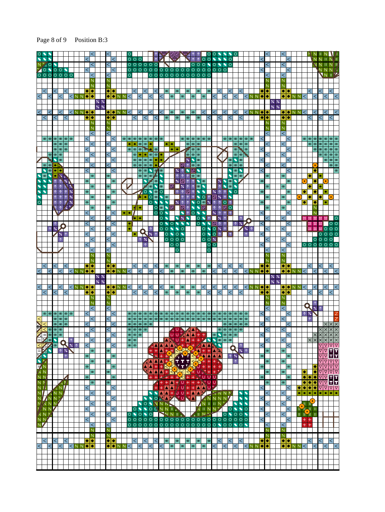#### Page 8 of 9 Position B:3